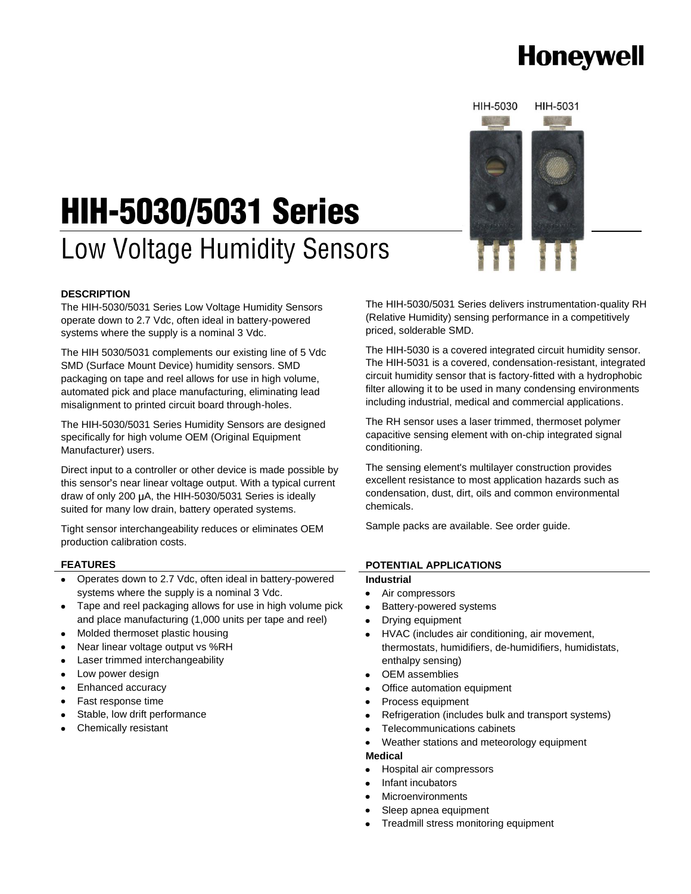



# **HIH-5030/5031 Series Low Voltage Humidity Sensors**

#### **DESCRIPTION**

The HIH-5030/5031 Series Low Voltage Humidity Sensors operate down to 2.7 Vdc, often ideal in battery-powered systems where the supply is a nominal 3 Vdc.

The HIH 5030/5031 complements our existing line of 5 Vdc SMD (Surface Mount Device) humidity sensors. SMD packaging on tape and reel allows for use in high volume, automated pick and place manufacturing, eliminating lead misalignment to printed circuit board through-holes.

The HIH-5030/5031 Series Humidity Sensors are designed specifically for high volume OEM (Original Equipment Manufacturer) users.

Direct input to a controller or other device is made possible by this sensor's near linear voltage output. With a typical current draw of only 200  $\mu$ A, the HIH-5030/5031 Series is ideally suited for many low drain, battery operated systems.

Tight sensor interchangeability reduces or eliminates OEM production calibration costs.

#### **FEATURES**

- Operates down to 2.7 Vdc, often ideal in battery-powered  $\bullet$ systems where the supply is a nominal 3 Vdc.
- Tape and reel packaging allows for use in high volume pick and place manufacturing (1,000 units per tape and reel)
- Molded thermoset plastic housing
- Near linear voltage output vs %RH
- Laser trimmed interchangeability
- Low power design
- Enhanced accuracy
- Fast response time
- Stable, low drift performance
- Chemically resistant

The HIH-5030/5031 Series delivers instrumentation-quality RH (Relative Humidity) sensing performance in a competitively priced, solderable SMD.

The HIH-5030 is a covered integrated circuit humidity sensor. The HIH-5031 is a covered, condensation-resistant, integrated circuit humidity sensor that is factory-fitted with a hydrophobic filter allowing it to be used in many condensing environments including industrial, medical and commercial applications.

The RH sensor uses a laser trimmed, thermoset polymer capacitive sensing element with on-chip integrated signal conditioning.

The sensing element's multilayer construction provides excellent resistance to most application hazards such as condensation, dust, dirt, oils and common environmental chemicals.

Sample packs are available. See order guide.

#### **POTENTIAL APPLICATIONS**

### **Industrial**

 $\bullet$ 

- Air compressors
- Battery-powered systems
- Drying equipment
- HVAC (includes air conditioning, air movement, thermostats, humidifiers, de-humidifiers, humidistats, enthalpy sensing)
- OEM assemblies  $\bullet$
- Office automation equipment
- Process equipment
- Refrigeration (includes bulk and transport systems)
- Telecommunications cabinets  $\bullet$
- Weather stations and meteorology equipment

#### **Medical**

- Hospital air compressors  $\bullet$
- Infant incubators
- Microenvironments
- Sleep apnea equipment
- Treadmill stress monitoring equipment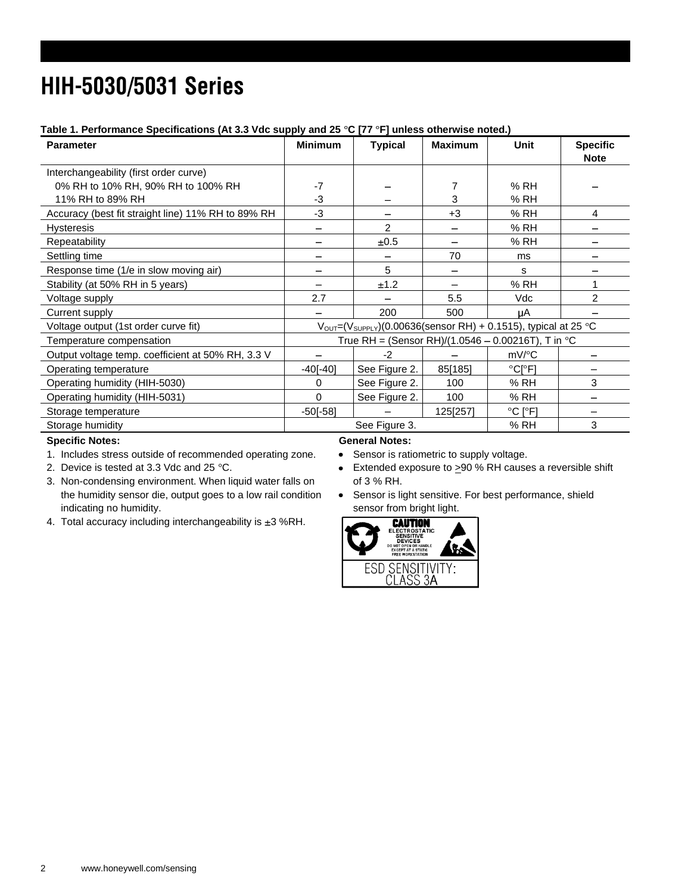## **HIH-5030/5031 Series**

### Table 1. Performance Specifications (At 3.3 Vdc supply and 25 °C [77 °F] unless otherwise noted.)

| <b>Parameter</b>                                   | <b>Minimum</b>                                                                                | <b>Typical</b> | <b>Maximum</b>           | Unit                         | <b>Specific</b><br><b>Note</b> |
|----------------------------------------------------|-----------------------------------------------------------------------------------------------|----------------|--------------------------|------------------------------|--------------------------------|
| Interchangeability (first order curve)             |                                                                                               |                |                          |                              |                                |
| 0% RH to 10% RH, 90% RH to 100% RH                 | -7                                                                                            |                |                          | % RH                         |                                |
| 11% RH to 89% RH                                   | -3                                                                                            |                | 3                        | %RH                          |                                |
| Accuracy (best fit straight line) 11% RH to 89% RH | -3                                                                                            |                | $+3$                     | % RH                         | 4                              |
| Hysteresis                                         |                                                                                               | 2              |                          | % RH                         |                                |
| Repeatability                                      |                                                                                               | ±0.5           |                          | % RH                         |                                |
| Settling time                                      |                                                                                               |                | 70                       | ms                           |                                |
| Response time (1/e in slow moving air)             |                                                                                               | 5              | $\overline{\phantom{0}}$ | S                            |                                |
| Stability (at 50% RH in 5 years)                   |                                                                                               | ±1.2           |                          | % RH                         |                                |
| Voltage supply                                     | 2.7                                                                                           |                | 5.5                      | Vdc                          | $\overline{2}$                 |
| Current supply                                     |                                                                                               | 200            | 500                      | μA                           |                                |
| Voltage output (1st order curve fit)               | $V_{\text{OUT}} = (V_{\text{SUPPLY}})(0.00636(\text{sensor RH}) + 0.1515)$ , typical at 25 °C |                |                          |                              |                                |
| Temperature compensation                           | True RH = (Sensor RH)/(1.0546 - 0.00216T), T in $^{\circ}$ C                                  |                |                          |                              |                                |
| Output voltage temp. coefficient at 50% RH, 3.3 V  |                                                                                               | $-2$           |                          | $mV$ /°C                     |                                |
| Operating temperature                              | $-40[-40]$                                                                                    | See Figure 2.  | 85[185]                  | $^{\circ}$ CI $^{\circ}$ F1  |                                |
| Operating humidity (HIH-5030)                      | 0                                                                                             | See Figure 2.  | 100                      | %RH                          | 3                              |
| Operating humidity (HIH-5031)                      | $\Omega$                                                                                      | See Figure 2.  | 100                      | %RH                          |                                |
| Storage temperature                                | $-50[-58]$                                                                                    |                | 125[257]                 | $^{\circ}$ C [ $^{\circ}$ F] |                                |
| Storage humidity                                   |                                                                                               | See Figure 3.  |                          | % RH                         | 3                              |

### **Specific Notes:**

1. Includes stress outside of recommended operating zone.

2. Device is tested at 3.3 Vdc and 25  $\degree$ C.

- 3. Non-condensing environment. When liquid water falls on the humidity sensor die, output goes to a low rail condition indicating no humidity.
- 4. Total accuracy including interchangeability is  $\pm 3$  %RH.

### **General Notes:**

Sensor is ratiometric to supply voltage.  $\bullet$ 

- $\bullet$ Extended exposure to  $\geq 90$  % RH causes a reversible shift of 3 % RH.
- $\bullet$ Sensor is light sensitive. For best performance, shield sensor from bright light.

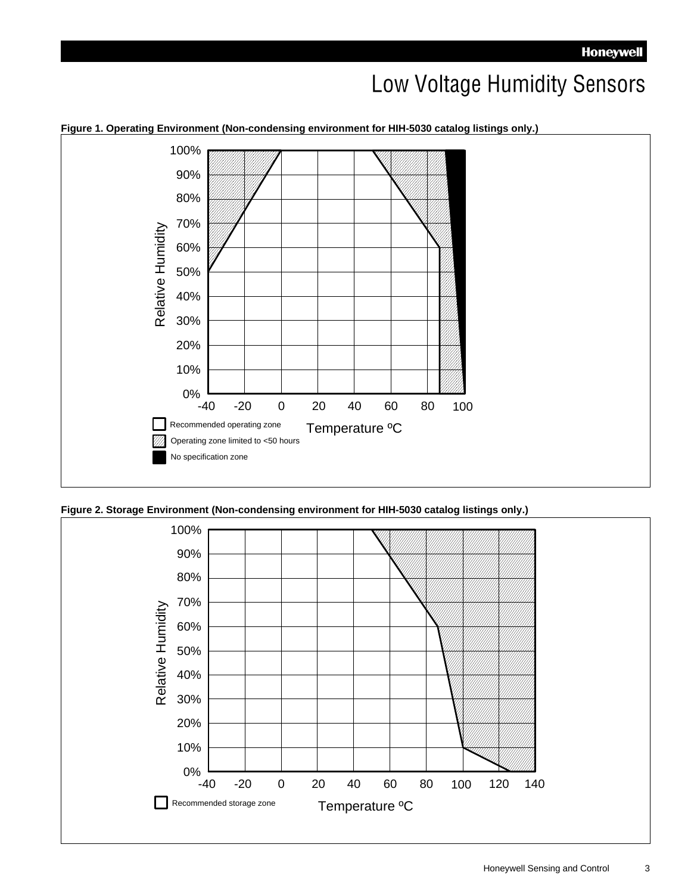### Low Voltage Humidity Sensors



**Figure 1. Operating Environment (Non-condensing environment for HIH-5030 catalog listings only.)**



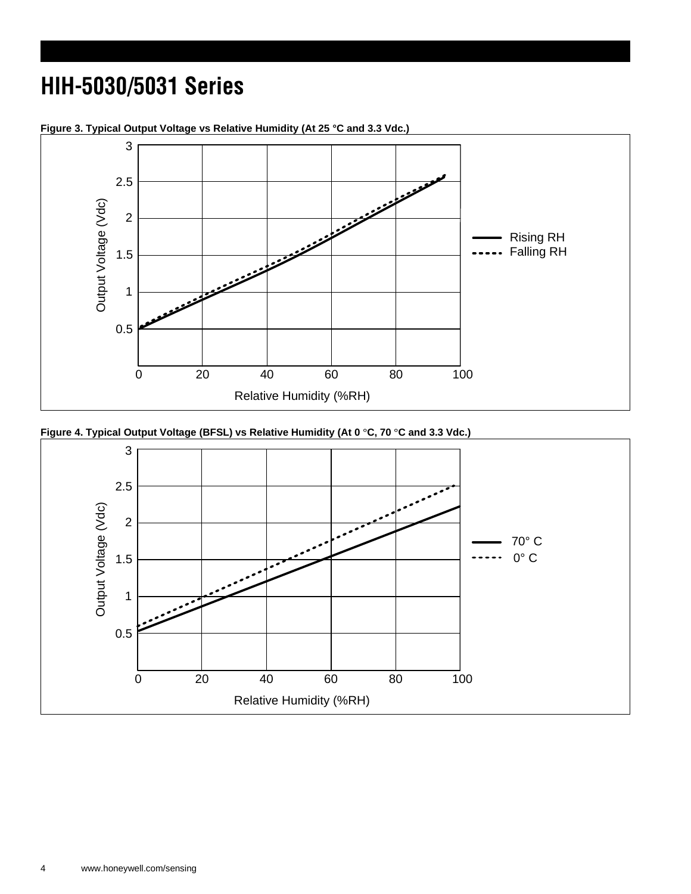### **HIH-5030/5031 Series**



**Figure 3. Typical Output Voltage vs Relative Humidity (At 25 °C and 3.3 Vdc.)**



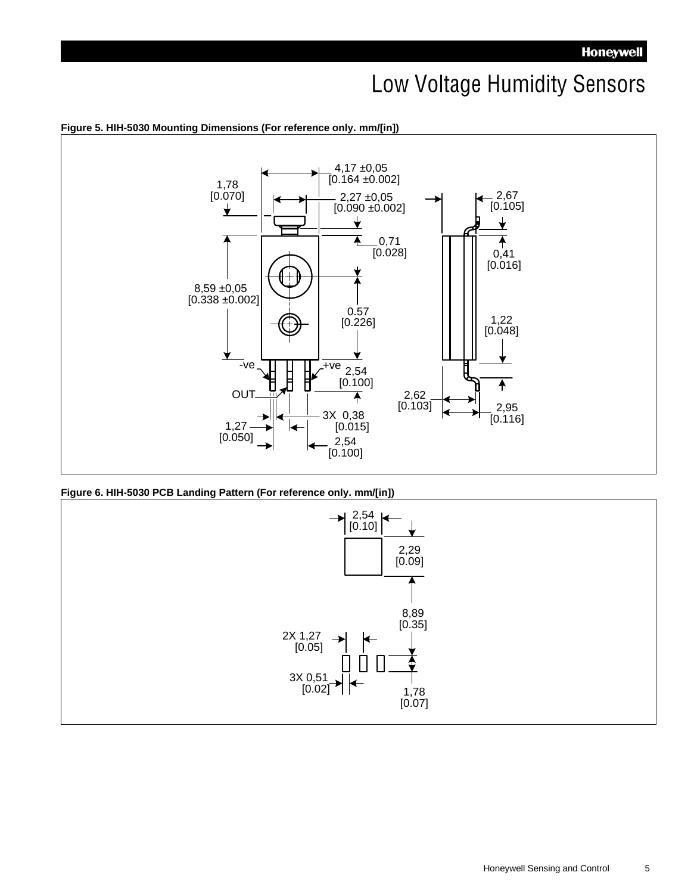### Low Voltage Humidity Sensors



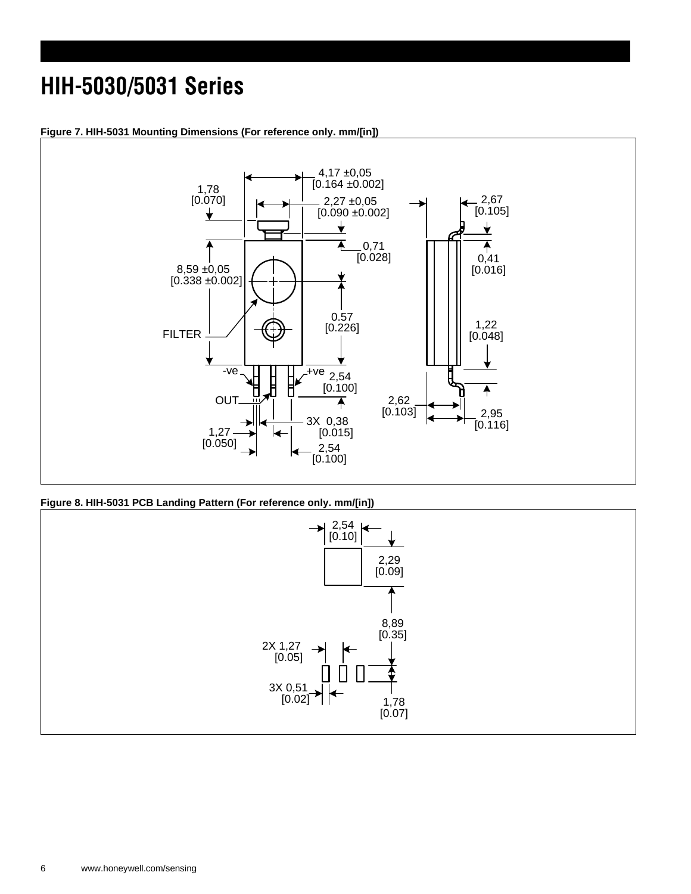### **HIH-5030/5031 Series**



**Figure 7. HIH-5031 Mounting Dimensions (For reference only. mm/[in])**

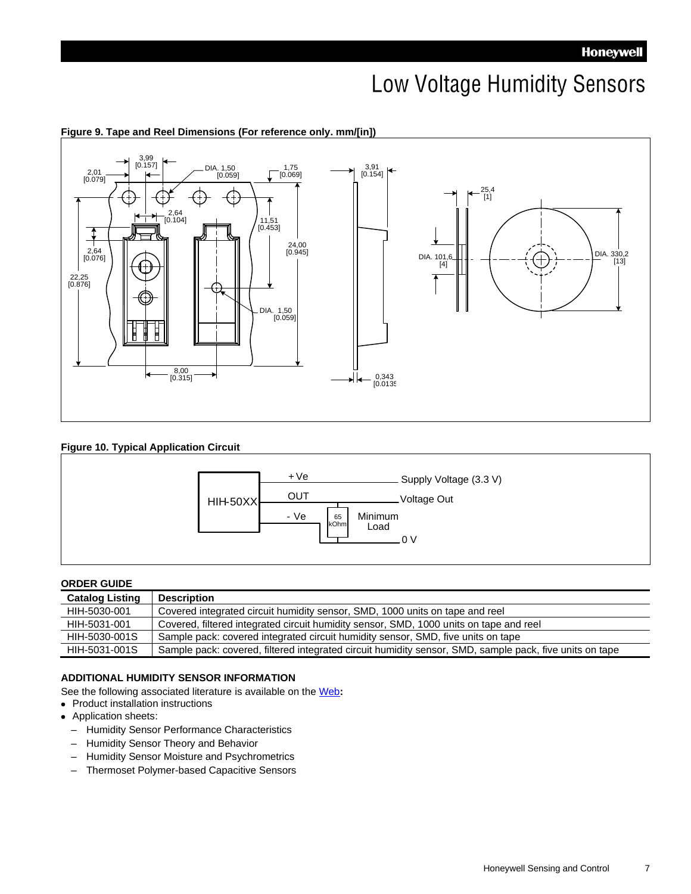### Low Voltage Humidity Sensors



### **Figure 9. Tape and Reel Dimensions (For reference only. mm/[in])**

### **Figure 10. Typical Application Circuit**



#### **ORDER GUIDE**

| <b>Catalog Listing</b> | <b>Description</b>                                                                                      |
|------------------------|---------------------------------------------------------------------------------------------------------|
| HIH-5030-001           | Covered integrated circuit humidity sensor, SMD, 1000 units on tape and reel                            |
| HIH-5031-001           | Covered, filtered integrated circuit humidity sensor, SMD, 1000 units on tape and reel                  |
| HIH-5030-001S          | Sample pack: covered integrated circuit humidity sensor, SMD, five units on tape                        |
| HIH-5031-001S          | Sample pack: covered, filtered integrated circuit humidity sensor, SMD, sample pack, five units on tape |

### **ADDITIONAL HUMIDITY SENSOR INFORMATION**

See the following associated literature is available on th[e Web](http://sensing.honeywell.com/index.cfm?ci_id=140264&defId=145575)**:**

- Product installation instructions
- Application sheets:
	- Humidity Sensor Performance Characteristics
	- Humidity Sensor Theory and Behavior
	- Humidity Sensor Moisture and Psychrometrics
	- Thermoset Polymer-based Capacitive Sensors